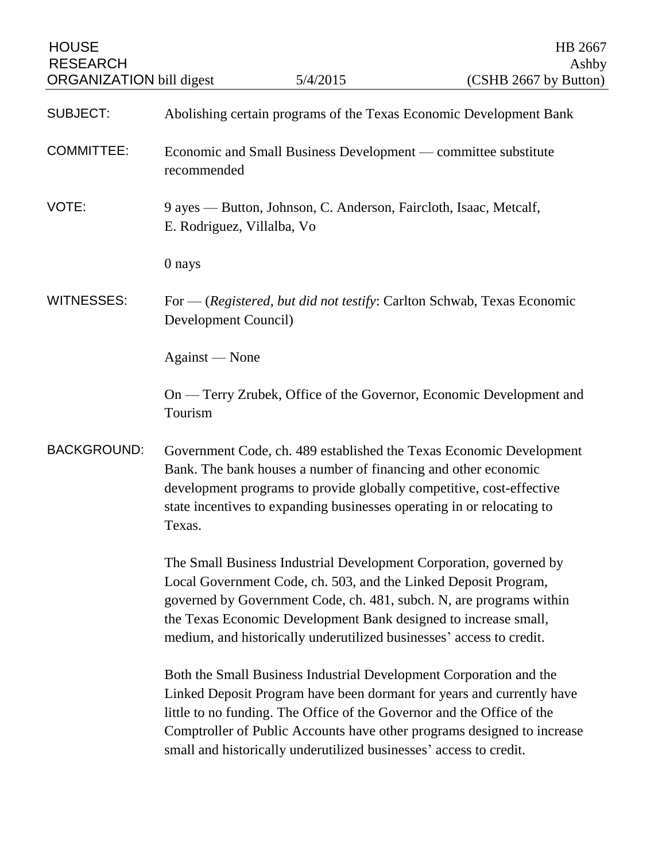| <b>HOUSE</b><br><b>RESEARCH</b><br><b>ORGANIZATION</b> bill digest |                                                                               | 5/4/2015                                                                                                                                                                                                                                                                                                                                                | HB 2667<br>Ashby<br>(CSHB 2667 by Button)                               |
|--------------------------------------------------------------------|-------------------------------------------------------------------------------|---------------------------------------------------------------------------------------------------------------------------------------------------------------------------------------------------------------------------------------------------------------------------------------------------------------------------------------------------------|-------------------------------------------------------------------------|
| <b>SUBJECT:</b>                                                    |                                                                               | Abolishing certain programs of the Texas Economic Development Bank                                                                                                                                                                                                                                                                                      |                                                                         |
| <b>COMMITTEE:</b>                                                  | Economic and Small Business Development — committee substitute<br>recommended |                                                                                                                                                                                                                                                                                                                                                         |                                                                         |
| VOTE:                                                              | E. Rodriguez, Villalba, Vo                                                    | 9 ayes — Button, Johnson, C. Anderson, Faircloth, Isaac, Metcalf,                                                                                                                                                                                                                                                                                       |                                                                         |
|                                                                    | 0 nays                                                                        |                                                                                                                                                                                                                                                                                                                                                         |                                                                         |
| <b>WITNESSES:</b>                                                  | Development Council)                                                          | For $-$ (Registered, but did not testify: Carlton Schwab, Texas Economic                                                                                                                                                                                                                                                                                |                                                                         |
|                                                                    | Against — None                                                                |                                                                                                                                                                                                                                                                                                                                                         |                                                                         |
|                                                                    | Tourism                                                                       |                                                                                                                                                                                                                                                                                                                                                         | On — Terry Zrubek, Office of the Governor, Economic Development and     |
| <b>BACKGROUND:</b>                                                 | Texas.                                                                        | Bank. The bank houses a number of financing and other economic<br>development programs to provide globally competitive, cost-effective<br>state incentives to expanding businesses operating in or relocating to                                                                                                                                        | Government Code, ch. 489 established the Texas Economic Development     |
|                                                                    |                                                                               | The Small Business Industrial Development Corporation, governed by<br>Local Government Code, ch. 503, and the Linked Deposit Program,<br>governed by Government Code, ch. 481, subch. N, are programs within<br>the Texas Economic Development Bank designed to increase small,<br>medium, and historically underutilized businesses' access to credit. |                                                                         |
|                                                                    |                                                                               | Both the Small Business Industrial Development Corporation and the<br>Linked Deposit Program have been dormant for years and currently have<br>little to no funding. The Office of the Governor and the Office of the<br>small and historically underutilized businesses' access to credit.                                                             | Comptroller of Public Accounts have other programs designed to increase |